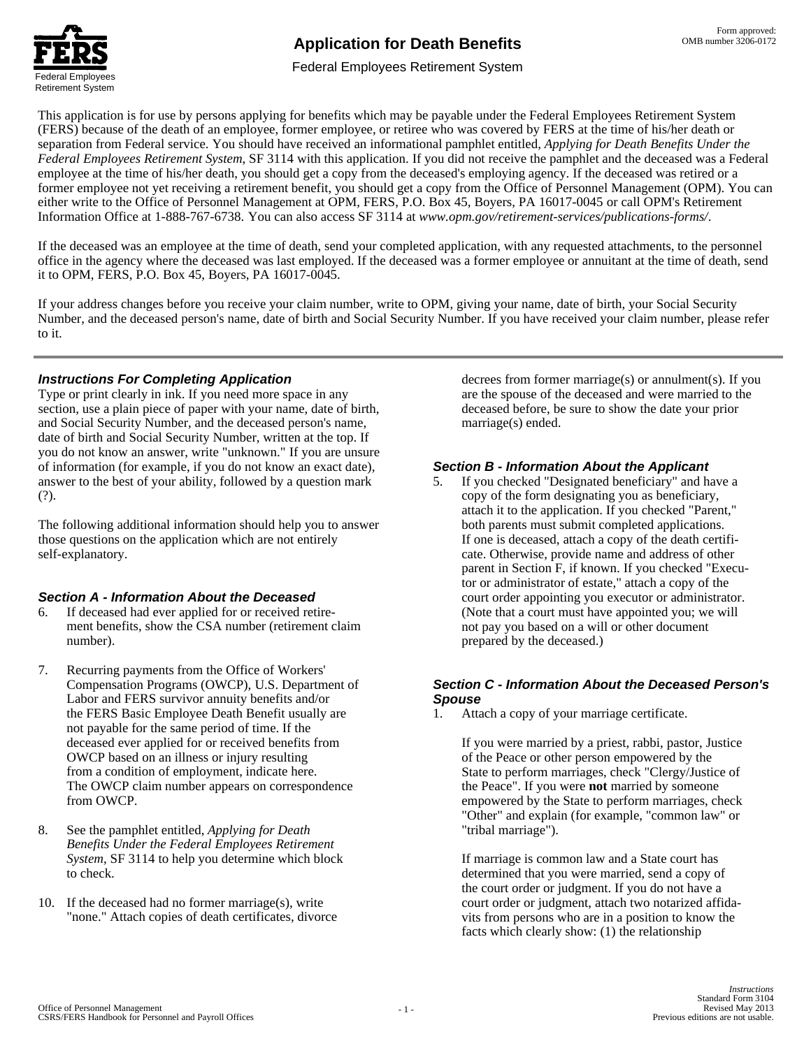

## **Application for Death Benefits**

Federal Employees Retirement System<br>Federal Employees

This application is for use by persons applying for benefits which may be payable under the Federal Employees Retirement System (FERS) because of the death of an employee, former employee, or retiree who was covered by FERS at the time of his/her death or separation from Federal service. You should have received an informational pamphlet entitled, *Applying for Death Benefits Under the Federal Employees Retirement System*, SF 3114 with this application. If you did not receive the pamphlet and the deceased was a Federal employee at the time of his/her death, you should get a copy from the deceased's employing agency. If the deceased was retired or a former employee not yet receiving a retirement benefit, you should get a copy from the Office of Personnel Management (OPM). You can either write to the Office of Personnel Management at OPM, FERS, P.O. Box 45, Boyers, PA 16017-0045 or call OPM's Retirement Information Office at 1-888-767-6738. You can also access SF 3114 at *[www.opm.gov/retirement-services/publications-forms/](http://www.opm.gov/retirement-services/publications-forms/)*.

If the deceased was an employee at the time of death, send your completed application, with any requested attachments, to the personnel office in the agency where the deceased was last employed. If the deceased was a former employee or annuitant at the time of death, send it to OPM, FERS, P.O. Box 45, Boyers, PA 16017-0045.

If your address changes before you receive your claim number, write to OPM, giving your name, date of birth, your Social Security Number, and the deceased person's name, date of birth and Social Security Number. If you have received your claim number, please refer to it.

## *Instructions For Completing Application*

Type or print clearly in ink. If you need more space in any section, use a plain piece of paper with your name, date of birth, and Social Security Number, and the deceased person's name, date of birth and Social Security Number, written at the top. If you do not know an answer, write "unknown." If you are unsure of information (for example, if you do not know an exact date), answer to the best of your ability, followed by a question mark (?).

The following additional information should help you to answer those questions on the application which are not entirely self-explanatory.

## *Section A - Information About the Deceased*

- 6. If deceased had ever applied for or received retirement benefits, show the CSA number (retirement claim number).
- 7. Recurring payments from the Office of Workers' Compensation Programs (OWCP), U.S. Department of Labor and FERS survivor annuity benefits and/or the FERS Basic Employee Death Benefit usually are not payable for the same period of time. If the deceased ever applied for or received benefits from OWCP based on an illness or injury resulting from a condition of employment, indicate here. The OWCP claim number appears on correspondence from OWCP.
- 8. See the pamphlet entitled, *Applying for Death Benefits Under the Federal Employees Retirement System*, SF 3114 to help you determine which block to check.
- 10. If the deceased had no former marriage(s), write "none." Attach copies of death certificates, divorce

decrees from former marriage(s) or annulment(s). If you are the spouse of the deceased and were married to the deceased before, be sure to show the date your prior marriage(s) ended.

## *Section B - Information About the Applicant*

5. If you checked "Designated beneficiary" and have a copy of the form designating you as beneficiary, attach it to the application. If you checked "Parent," both parents must submit completed applications. If one is deceased, attach a copy of the death certificate. Otherwise, provide name and address of other parent in Section F, if known. If you checked "Executor or administrator of estate," attach a copy of the court order appointing you executor or administrator. (Note that a court must have appointed you; we will not pay you based on a will or other document prepared by the deceased.)

#### *Section C - Information About the Deceased Person's Spouse*

1. Attach a copy of your marriage certificate.

If you were married by a priest, rabbi, pastor, Justice of the Peace or other person empowered by the State to perform marriages, check "Clergy/Justice of the Peace". If you were **not** married by someone empowered by the State to perform marriages, check "Other" and explain (for example, "common law" or "tribal marriage").

If marriage is common law and a State court has determined that you were married, send a copy of the court order or judgment. If you do not have a court order or judgment, attach two notarized affidavits from persons who are in a position to know the facts which clearly show: (1) the relationship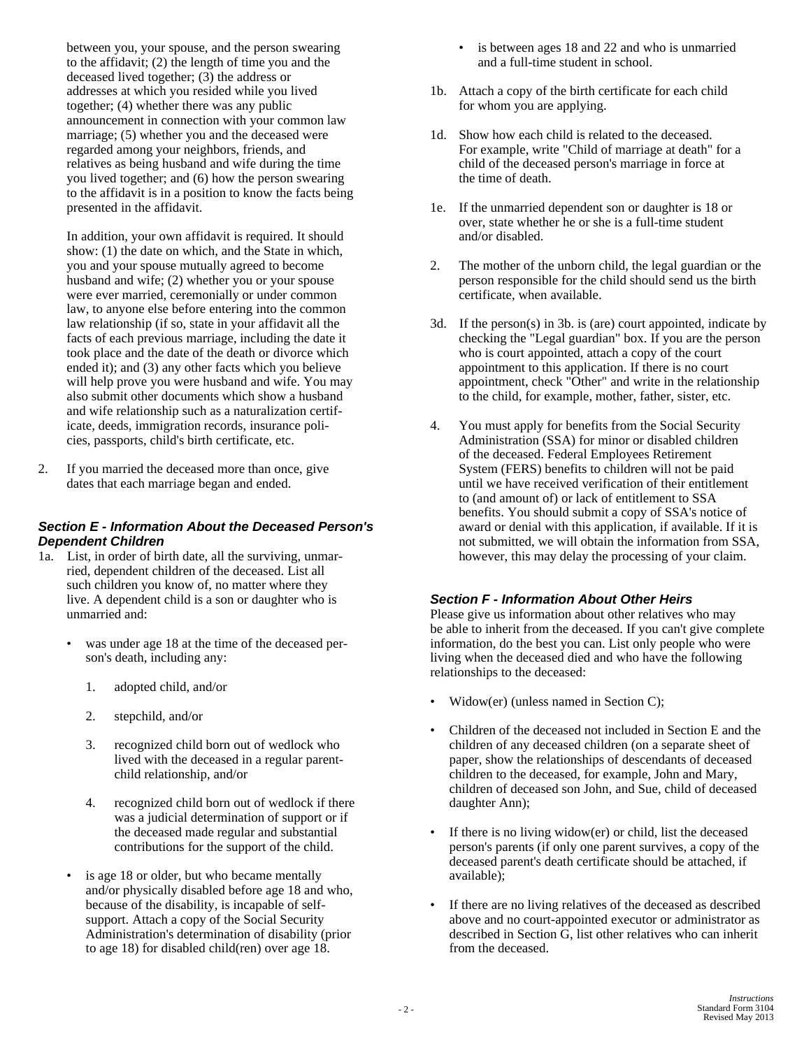between you, your spouse, and the person swearing to the affidavit; (2) the length of time you and the deceased lived together; (3) the address or addresses at which you resided while you lived together; (4) whether there was any public announcement in connection with your common law marriage; (5) whether you and the deceased were regarded among your neighbors, friends, and relatives as being husband and wife during the time you lived together; and (6) how the person swearing to the affidavit is in a position to know the facts being presented in the affidavit.

In addition, your own affidavit is required. It should show: (1) the date on which, and the State in which, you and your spouse mutually agreed to become husband and wife; (2) whether you or your spouse were ever married, ceremonially or under common law, to anyone else before entering into the common law relationship (if so, state in your affidavit all the facts of each previous marriage, including the date it took place and the date of the death or divorce which ended it); and (3) any other facts which you believe will help prove you were husband and wife. You may also submit other documents which show a husband and wife relationship such as a naturalization certificate, deeds, immigration records, insurance policies, passports, child's birth certificate, etc.

2. If you married the deceased more than once, give dates that each marriage began and ended.

#### *Section E - Information About the Deceased Person's Dependent Children*

- 1a. List, in order of birth date, all the surviving, unmarried, dependent children of the deceased. List all such children you know of, no matter where they live. A dependent child is a son or daughter who is unmarried and:
	- was under age 18 at the time of the deceased person's death, including any:
		- 1. adopted child, and/or
		- 2. stepchild, and/or
		- 3. recognized child born out of wedlock who lived with the deceased in a regular parentchild relationship, and/or
		- 4. recognized child born out of wedlock if there was a judicial determination of support or if the deceased made regular and substantial contributions for the support of the child.
	- is age 18 or older, but who became mentally and/or physically disabled before age 18 and who, because of the disability, is incapable of selfsupport. Attach a copy of the Social Security Administration's determination of disability (prior to age 18) for disabled child(ren) over age 18.
- is between ages 18 and 22 and who is unmarried and a full-time student in school.
- 1b. Attach a copy of the birth certificate for each child for whom you are applying.
- 1d. Show how each child is related to the deceased. For example, write "Child of marriage at death" for a child of the deceased person's marriage in force at the time of death.
- 1e. If the unmarried dependent son or daughter is 18 or over, state whether he or she is a full-time student and/or disabled.
- 2. The mother of the unborn child, the legal guardian or the person responsible for the child should send us the birth certificate, when available.
- 3d. If the person(s) in 3b. is (are) court appointed, indicate by checking the "Legal guardian" box. If you are the person who is court appointed, attach a copy of the court appointment to this application. If there is no court appointment, check "Other" and write in the relationship to the child, for example, mother, father, sister, etc.
- 4. You must apply for benefits from the Social Security Administration (SSA) for minor or disabled children of the deceased. Federal Employees Retirement System (FERS) benefits to children will not be paid until we have received verification of their entitlement to (and amount of) or lack of entitlement to SSA benefits. You should submit a copy of SSA's notice of award or denial with this application, if available. If it is not submitted, we will obtain the information from SSA, however, this may delay the processing of your claim.

#### *Section F - Information About Other Heirs*

Please give us information about other relatives who may be able to inherit from the deceased. If you can't give complete information, do the best you can. List only people who were living when the deceased died and who have the following relationships to the deceased:

- $Widow(er)$  (unless named in Section C);
- Children of the deceased not included in Section E and the children of any deceased children (on a separate sheet of paper, show the relationships of descendants of deceased children to the deceased, for example, John and Mary, children of deceased son John, and Sue, child of deceased daughter Ann);
- If there is no living widow(er) or child, list the deceased person's parents (if only one parent survives, a copy of the deceased parent's death certificate should be attached, if available);
- If there are no living relatives of the deceased as described above and no court-appointed executor or administrator as described in Section G, list other relatives who can inherit from the deceased.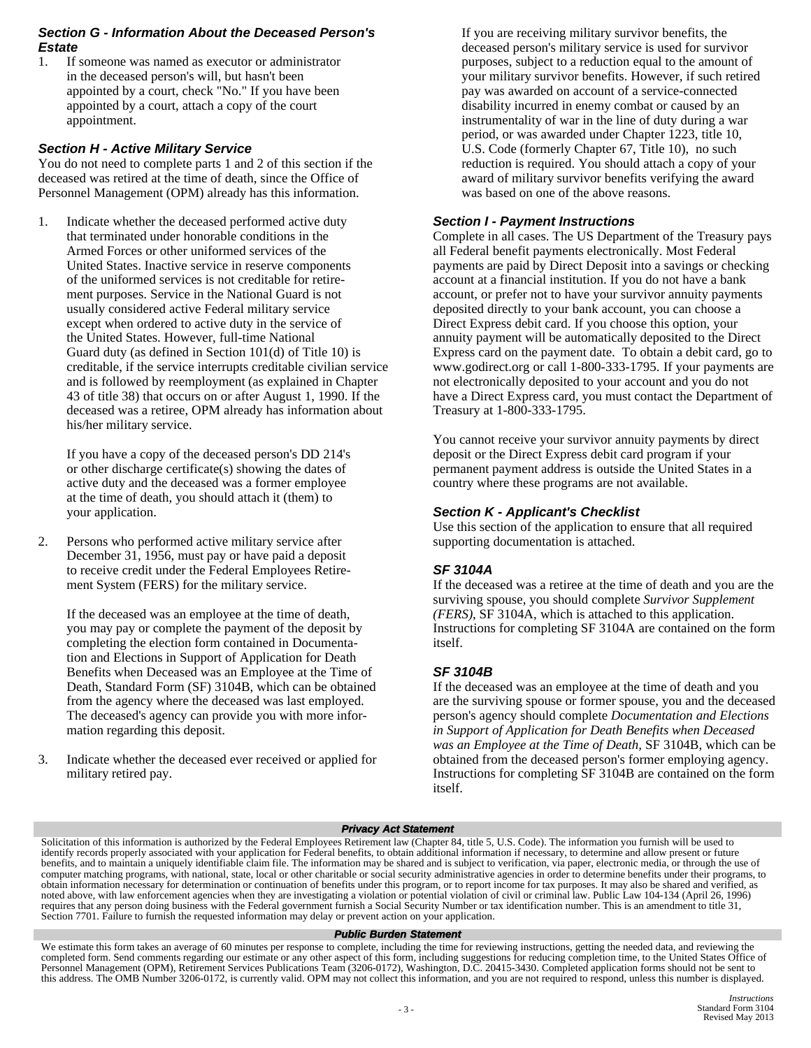#### *Section G - Information About the Deceased Person's Estate*

1. If someone was named as executor or administrator in the deceased person's will, but hasn't been appointed by a court, check "No." If you have been appointed by a court, attach a copy of the court appointment.

## *Section H - Active Military Service*

You do not need to complete parts 1 and 2 of this section if the deceased was retired at the time of death, since the Office of Personnel Management (OPM) already has this information.

1. Indicate whether the deceased performed active duty that terminated under honorable conditions in the Armed Forces or other uniformed services of the United States. Inactive service in reserve components of the uniformed services is not creditable for retirement purposes. Service in the National Guard is not usually considered active Federal military service except when ordered to active duty in the service of the United States. However, full-time National Guard duty (as defined in Section 101(d) of Title 10) is creditable, if the service interrupts creditable civilian service and is followed by reemployment (as explained in Chapter 43 of title 38) that occurs on or after August 1, 1990. If the deceased was a retiree, OPM already has information about his/her military service.

If you have a copy of the deceased person's DD 214's or other discharge certificate(s) showing the dates of active duty and the deceased was a former employee at the time of death, you should attach it (them) to your application.

2. Persons who performed active military service after December 31, 1956, must pay or have paid a deposit to receive credit under the Federal Employees Retirement System (FERS) for the military service.

If the deceased was an employee at the time of death, you may pay or complete the payment of the deposit by completing the election form contained in Documentation and Elections in Support of Application for Death Benefits when Deceased was an Employee at the Time of Death, Standard Form (SF) 3104B, which can be obtained from the agency where the deceased was last employed. The deceased's agency can provide you with more information regarding this deposit.

3. Indicate whether the deceased ever received or applied for military retired pay.

If you are receiving military survivor benefits, the deceased person's military service is used for survivor purposes, subject to a reduction equal to the amount of your military survivor benefits. However, if such retired pay was awarded on account of a service-connected disability incurred in enemy combat or caused by an instrumentality of war in the line of duty during a war period, or was awarded under Chapter 1223, title 10, U.S. Code (formerly Chapter 67, Title 10), no such reduction is required. You should attach a copy of your award of military survivor benefits verifying the award was based on one of the above reasons.

## *Section I - Payment Instructions*

Complete in all cases. The US Department of the Treasury pays all Federal benefit payments electronically. Most Federal payments are paid by Direct Deposit into a savings or checking account at a financial institution. If you do not have a bank account, or prefer not to have your survivor annuity payments deposited directly to your bank account, you can choose a Direct Express debit card. If you choose this option, your annuity payment will be automatically deposited to the Direct Express card on the payment date. To obtain a debit card, go to [www.godirect.org](http://www.godirect.org) or call 1-800-333-1795. If your payments are not electronically deposited to your account and you do not have a Direct Express card, you must contact the Department of Treasury at 1-800-333-1795.

You cannot receive your survivor annuity payments by direct deposit or the Direct Express debit card program if your permanent payment address is outside the United States in a country where these programs are not available.

## *Section K - Applicant's Checklist*

Use this section of the application to ensure that all required supporting documentation is attached.

## *SF 3104A*

If the deceased was a retiree at the time of death and you are the surviving spouse, you should complete *Survivor Supplement (FERS)*, SF 3104A, which is attached to this application. Instructions for completing SF 3104A are contained on the form itself.

## *SF 3104B*

If the deceased was an employee at the time of death and you are the surviving spouse or former spouse, you and the deceased person's agency should complete *Documentation and Elections in Support of Application for Death Benefits when Deceased was an Employee at the Time of Death,* SF 3104B, which can be obtained from the deceased person's former employing agency. Instructions for completing SF 3104B are contained on the form itself.

#### *Privacy Act Statement*

Solicitation of this information is authorized by the Federal Employees Retirement law (Chapter 84, title 5, U.S. Code). The information you furnish will be used to identify records properly associated with your application for Federal benefits, to obtain additional information if necessary, to determine and allow present or future benefits, and to maintain a uniquely identifiable claim file. The information may be shared and is subject to verification, via paper, electronic media, or through the use of<br>computer matching programs, with national, stat obtain information necessary for determination or continuation of benefits under this program, or to report income for tax purposes. It may also be shared and verified, as noted above, with law enforcement agencies when they are investigating a violation or potential violation of civil or criminal law. Public Law 104-134 (April 26, 1996)<br>requires that any person doing business with the Feder Section 7701. Failure to furnish the requested information may delay or prevent action on your application.

#### *Public Burden Statement*

We estimate this form takes an average of 60 minutes per response to complete, including the time for reviewing instructions, getting the needed data, and reviewing the completed form. Send comments regarding our estimate this address. The OMB Number 3206-0172, is currently valid. OPM may not collect this information, and you are not required to respond, unless this number is displayed.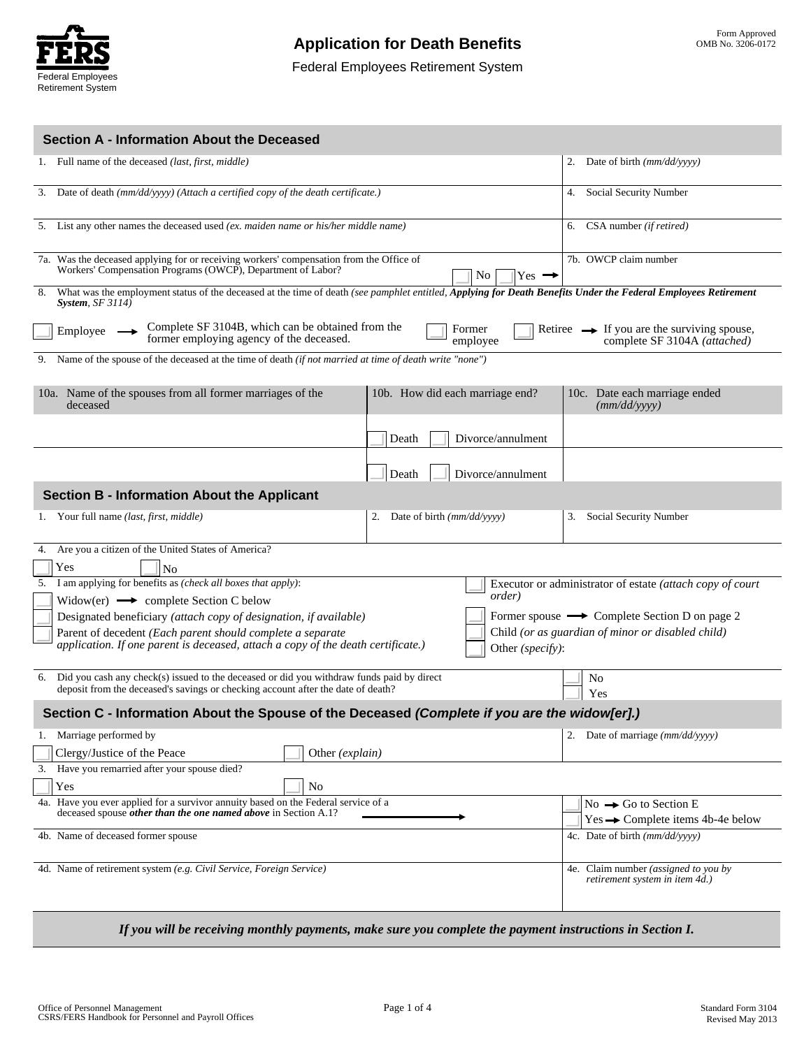

Federal Employees **Retirement System**<br>Federal Employees

| <b>Section A - Information About the Deceased</b>                                                                                                                                                                       |                                  |                                                                                            |  |  |  |
|-------------------------------------------------------------------------------------------------------------------------------------------------------------------------------------------------------------------------|----------------------------------|--------------------------------------------------------------------------------------------|--|--|--|
| 1. Full name of the deceased (last, first, middle)                                                                                                                                                                      |                                  | 2.<br>Date of birth $\left(\frac{mm}{dd}{\vee}$ yyyy)                                      |  |  |  |
| Date of death (mm/dd/yyyy) (Attach a certified copy of the death certificate.)<br>3.                                                                                                                                    |                                  | Social Security Number<br>4.                                                               |  |  |  |
| 5. List any other names the deceased used (ex. maiden name or his/her middle name)                                                                                                                                      |                                  | 6. CSA number (if retired)                                                                 |  |  |  |
| 7a. Was the deceased applying for or receiving workers' compensation from the Office of<br>Workers' Compensation Programs (OWCP), Department of Labor?                                                                  | No<br>$Yes \rightarrow$          | 7b. OWCP claim number                                                                      |  |  |  |
| What was the employment status of the deceased at the time of death (see pamphlet entitled, Applying for Death Benefits Under the Federal Employees Retirement<br>8.<br>System, $SF$ 3114)                              |                                  |                                                                                            |  |  |  |
| Complete SF 3104B, which can be obtained from the<br>Employee<br>former employing agency of the deceased.                                                                                                               | Former<br>employee               | Retiree $\longrightarrow$ If you are the surviving spouse,<br>complete SF 3104A (attached) |  |  |  |
| Name of the spouse of the deceased at the time of death <i>(if not married at time of death write "none")</i><br>9.                                                                                                     |                                  |                                                                                            |  |  |  |
| 10a. Name of the spouses from all former marriages of the<br>deceased                                                                                                                                                   | 10b. How did each marriage end?  | 10c. Date each marriage ended<br>(mm/dd/yyyy)                                              |  |  |  |
|                                                                                                                                                                                                                         | Divorce/annulment<br>Death       |                                                                                            |  |  |  |
|                                                                                                                                                                                                                         | Divorce/annulment<br>Death       |                                                                                            |  |  |  |
| <b>Section B - Information About the Applicant</b>                                                                                                                                                                      |                                  |                                                                                            |  |  |  |
| 1. Your full name (last, first, middle)                                                                                                                                                                                 | Date of birth (mm/dd/yyyy)<br>2. | 3.<br>Social Security Number                                                               |  |  |  |
| Are you a citizen of the United States of America?<br>4.                                                                                                                                                                |                                  |                                                                                            |  |  |  |
| <b>Yes</b><br>No<br>5. I am applying for benefits as (check all boxes that apply):                                                                                                                                      |                                  | Executor or administrator of estate (attach copy of court                                  |  |  |  |
| $Window(er) \longrightarrow$ complete Section C below                                                                                                                                                                   | <i>order</i> )                   |                                                                                            |  |  |  |
| Designated beneficiary (attach copy of designation, if available)                                                                                                                                                       |                                  | Former spouse $\longrightarrow$ Complete Section D on page 2                               |  |  |  |
| Child (or as guardian of minor or disabled child)<br>Parent of decedent (Each parent should complete a separate<br>application. If one parent is deceased, attach a copy of the death certificate.)<br>Other (specify): |                                  |                                                                                            |  |  |  |
| Did you cash any check(s) issued to the deceased or did you withdraw funds paid by direct<br>6.<br>N <sub>o</sub><br>deposit from the deceased's savings or checking account after the date of death?<br>Yes            |                                  |                                                                                            |  |  |  |
| Section C - Information About the Spouse of the Deceased (Complete if you are the widow[er].)                                                                                                                           |                                  |                                                                                            |  |  |  |
| Marriage performed by<br>1.                                                                                                                                                                                             |                                  | 2. Date of marriage $(mm/dd/vyyy)$                                                         |  |  |  |
| Clergy/Justice of the Peace<br>Other (explain)                                                                                                                                                                          |                                  |                                                                                            |  |  |  |
| 3. Have you remarried after your spouse died?                                                                                                                                                                           |                                  |                                                                                            |  |  |  |
| Yes<br>No                                                                                                                                                                                                               |                                  |                                                                                            |  |  |  |
| 4a. Have you ever applied for a survivor annuity based on the Federal service of a<br>deceased spouse other than the one named above in Section A.1?                                                                    |                                  | $No \rightarrow Go$ to Section E<br>$Yes \rightarrow Complete items 4b-4e below$           |  |  |  |
| 4b. Name of deceased former spouse                                                                                                                                                                                      |                                  | 4c. Date of birth (mm/dd/yyyy)                                                             |  |  |  |
| 4d. Name of retirement system (e.g. Civil Service, Foreign Service)                                                                                                                                                     |                                  | 4e. Claim number (assigned to you by<br>retirement system in item 4d.)                     |  |  |  |
|                                                                                                                                                                                                                         |                                  |                                                                                            |  |  |  |

*If you will be receiving monthly payments, make sure you complete the payment instructions in Section I.*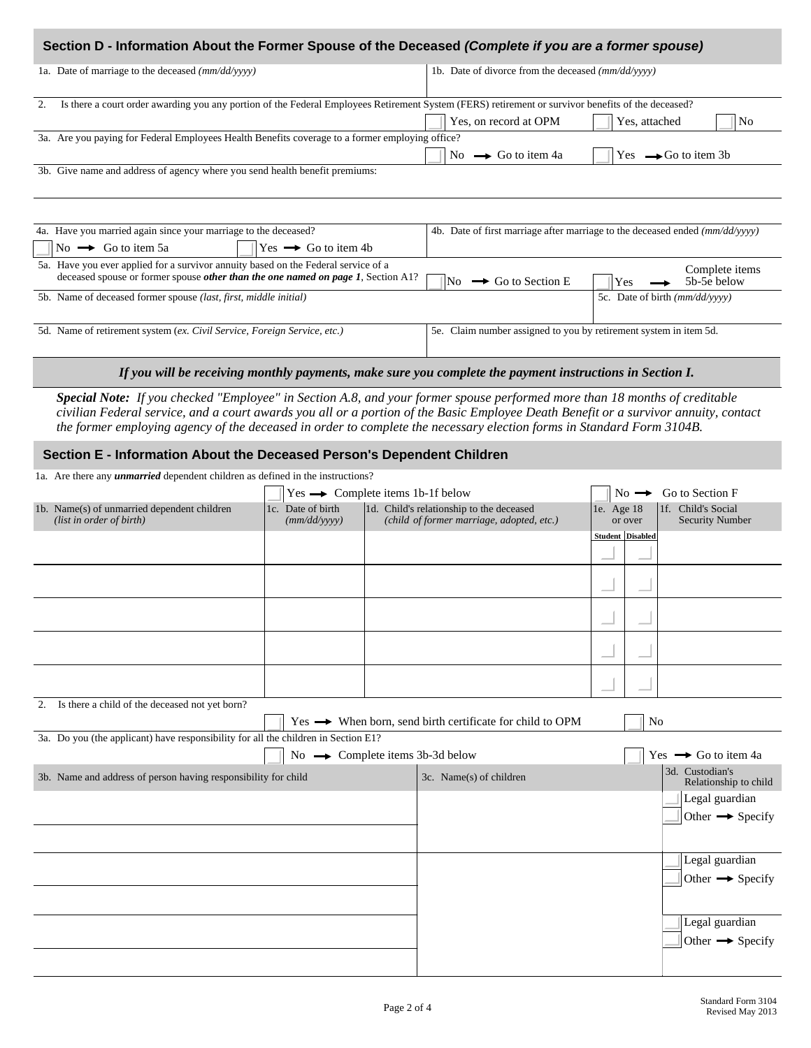<span id="page-4-0"></span>

|                                                                                                                                                                      |                                                                                                                                                                                                                                             |                                                  |  | Section D - Information About the Former Spouse of the Deceased (Complete if you are a former spouse)                                                                                                                                                                                                                                                                                       |                                                    |                                               |  |  |  |
|----------------------------------------------------------------------------------------------------------------------------------------------------------------------|---------------------------------------------------------------------------------------------------------------------------------------------------------------------------------------------------------------------------------------------|--------------------------------------------------|--|---------------------------------------------------------------------------------------------------------------------------------------------------------------------------------------------------------------------------------------------------------------------------------------------------------------------------------------------------------------------------------------------|----------------------------------------------------|-----------------------------------------------|--|--|--|
|                                                                                                                                                                      | 1a. Date of marriage to the deceased (mm/dd/yyyy)                                                                                                                                                                                           |                                                  |  | 1b. Date of divorce from the deceased (mm/dd/yyyy)                                                                                                                                                                                                                                                                                                                                          |                                                    |                                               |  |  |  |
| 2.                                                                                                                                                                   |                                                                                                                                                                                                                                             |                                                  |  | Is there a court order awarding you any portion of the Federal Employees Retirement System (FERS) retirement or survivor benefits of the deceased?<br>Yes, on record at OPM                                                                                                                                                                                                                 | Yes, attached                                      | N <sub>o</sub>                                |  |  |  |
|                                                                                                                                                                      | 3a. Are you paying for Federal Employees Health Benefits coverage to a former employing office?                                                                                                                                             |                                                  |  | No $\rightarrow$ Go to item 4a                                                                                                                                                                                                                                                                                                                                                              | Yes $\rightarrow$ Go to item 3b                    |                                               |  |  |  |
|                                                                                                                                                                      | 3b. Give name and address of agency where you send health benefit premiums:                                                                                                                                                                 |                                                  |  |                                                                                                                                                                                                                                                                                                                                                                                             |                                                    |                                               |  |  |  |
|                                                                                                                                                                      | 4a. Have you married again since your marriage to the deceased?                                                                                                                                                                             |                                                  |  | 4b. Date of first marriage after marriage to the deceased ended (mm/dd/yyyy)                                                                                                                                                                                                                                                                                                                |                                                    |                                               |  |  |  |
|                                                                                                                                                                      | No $\rightarrow$ Go to item 5a<br>$Yes \rightarrow Go$ to item 4b<br>5a. Have you ever applied for a survivor annuity based on the Federal service of a<br>deceased spouse or former spouse other than the one named on page 1, Section A1? |                                                  |  | Complete items<br>No $\rightarrow$ Go to Section E<br>5b-5e below<br>Yes                                                                                                                                                                                                                                                                                                                    |                                                    |                                               |  |  |  |
|                                                                                                                                                                      | 5b. Name of deceased former spouse (last, first, middle initial)                                                                                                                                                                            |                                                  |  |                                                                                                                                                                                                                                                                                                                                                                                             | 5c. Date of birth (mm/dd/yyyy)                     |                                               |  |  |  |
|                                                                                                                                                                      | 5d. Name of retirement system (ex. Civil Service, Foreign Service, etc.)                                                                                                                                                                    |                                                  |  | 5e. Claim number assigned to you by retirement system in item 5d.                                                                                                                                                                                                                                                                                                                           |                                                    |                                               |  |  |  |
|                                                                                                                                                                      |                                                                                                                                                                                                                                             |                                                  |  | If you will be receiving monthly payments, make sure you complete the payment instructions in Section I.                                                                                                                                                                                                                                                                                    |                                                    |                                               |  |  |  |
|                                                                                                                                                                      |                                                                                                                                                                                                                                             |                                                  |  | Special Note: If you checked "Employee" in Section A.8, and your former spouse performed more than 18 months of creditable<br>civilian Federal service, and a court awards you all or a portion of the Basic Employee Death Benefit or a survivor annuity, contact<br>the former employing agency of the deceased in order to complete the necessary election forms in Standard Form 3104B. |                                                    |                                               |  |  |  |
|                                                                                                                                                                      | Section E - Information About the Deceased Person's Dependent Children                                                                                                                                                                      |                                                  |  |                                                                                                                                                                                                                                                                                                                                                                                             |                                                    |                                               |  |  |  |
|                                                                                                                                                                      | 1a. Are there any <i>unmarried</i> dependent children as defined in the instructions?                                                                                                                                                       | Yes $\longrightarrow$ Complete items 1b-1f below |  |                                                                                                                                                                                                                                                                                                                                                                                             | $No =$                                             | Go to Section F                               |  |  |  |
|                                                                                                                                                                      | 1b. Name(s) of unmarried dependent children<br>(list in order of birth)                                                                                                                                                                     | 1c. Date of birth<br>(mm/dd/vyyy)                |  | 1d. Child's relationship to the deceased<br>(child of former marriage, adopted, etc.)                                                                                                                                                                                                                                                                                                       | 1e. Age $18$<br>or over<br><b>Student Disabled</b> | 1f. Child's Social<br><b>Security Number</b>  |  |  |  |
|                                                                                                                                                                      |                                                                                                                                                                                                                                             |                                                  |  |                                                                                                                                                                                                                                                                                                                                                                                             |                                                    |                                               |  |  |  |
|                                                                                                                                                                      |                                                                                                                                                                                                                                             |                                                  |  |                                                                                                                                                                                                                                                                                                                                                                                             |                                                    |                                               |  |  |  |
|                                                                                                                                                                      |                                                                                                                                                                                                                                             |                                                  |  |                                                                                                                                                                                                                                                                                                                                                                                             |                                                    |                                               |  |  |  |
|                                                                                                                                                                      |                                                                                                                                                                                                                                             |                                                  |  |                                                                                                                                                                                                                                                                                                                                                                                             |                                                    |                                               |  |  |  |
| 2.                                                                                                                                                                   | Is there a child of the deceased not yet born?                                                                                                                                                                                              |                                                  |  | Yes $\longrightarrow$ When born, send birth certificate for child to OPM                                                                                                                                                                                                                                                                                                                    | No                                                 |                                               |  |  |  |
| 3a. Do you (the applicant) have responsibility for all the children in Section E1?<br>No $\rightarrow$ Complete items 3b-3d below<br>Yes $\rightarrow$ Go to item 4a |                                                                                                                                                                                                                                             |                                                  |  |                                                                                                                                                                                                                                                                                                                                                                                             |                                                    |                                               |  |  |  |
|                                                                                                                                                                      | 3b. Name and address of person having responsibility for child                                                                                                                                                                              |                                                  |  | 3c. Name(s) of children                                                                                                                                                                                                                                                                                                                                                                     |                                                    | 3d. Custodian's<br>Relationship to child      |  |  |  |
|                                                                                                                                                                      |                                                                                                                                                                                                                                             |                                                  |  |                                                                                                                                                                                                                                                                                                                                                                                             |                                                    | Legal guardian<br>Other $\rightarrow$ Specify |  |  |  |
|                                                                                                                                                                      |                                                                                                                                                                                                                                             |                                                  |  |                                                                                                                                                                                                                                                                                                                                                                                             |                                                    | Legal guardian                                |  |  |  |
|                                                                                                                                                                      |                                                                                                                                                                                                                                             |                                                  |  |                                                                                                                                                                                                                                                                                                                                                                                             |                                                    | Other $\rightarrow$ Specify                   |  |  |  |
|                                                                                                                                                                      |                                                                                                                                                                                                                                             |                                                  |  |                                                                                                                                                                                                                                                                                                                                                                                             |                                                    | Legal guardian<br>Other $\rightarrow$ Specify |  |  |  |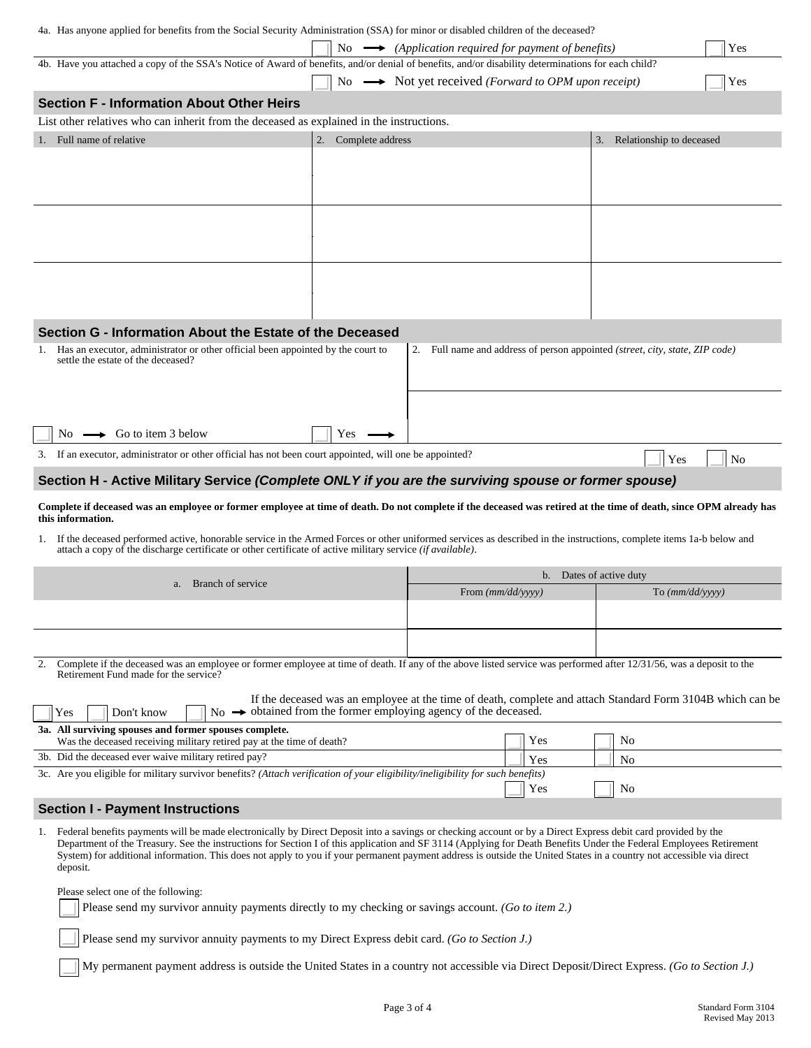| 4a. Has anyone applied for benefits from the Social Security Administration (SSA) for minor or disabled children of the deceased?                                                                                                                                                                                                                                                                                                                                                                                         |                                                                                                            |                                                                                 |                         |    |                             |     |
|---------------------------------------------------------------------------------------------------------------------------------------------------------------------------------------------------------------------------------------------------------------------------------------------------------------------------------------------------------------------------------------------------------------------------------------------------------------------------------------------------------------------------|------------------------------------------------------------------------------------------------------------|---------------------------------------------------------------------------------|-------------------------|----|-----------------------------|-----|
| 4b. Have you attached a copy of the SSA's Notice of Award of benefits, and/or denial of benefits, and/or disability determinations for each child?                                                                                                                                                                                                                                                                                                                                                                        |                                                                                                            | No $\longrightarrow$ (Application required for payment of benefits)             |                         |    |                             | Yes |
|                                                                                                                                                                                                                                                                                                                                                                                                                                                                                                                           |                                                                                                            | No $\longrightarrow$ Not yet received <i>(Forward to OPM upon receipt)</i>      |                         |    |                             | Yes |
| <b>Section F - Information About Other Heirs</b>                                                                                                                                                                                                                                                                                                                                                                                                                                                                          |                                                                                                            |                                                                                 |                         |    |                             |     |
| List other relatives who can inherit from the deceased as explained in the instructions.                                                                                                                                                                                                                                                                                                                                                                                                                                  |                                                                                                            |                                                                                 |                         |    |                             |     |
| 1. Full name of relative                                                                                                                                                                                                                                                                                                                                                                                                                                                                                                  | 2. Complete address                                                                                        |                                                                                 |                         |    | 3. Relationship to deceased |     |
|                                                                                                                                                                                                                                                                                                                                                                                                                                                                                                                           |                                                                                                            |                                                                                 |                         |    |                             |     |
|                                                                                                                                                                                                                                                                                                                                                                                                                                                                                                                           |                                                                                                            |                                                                                 |                         |    |                             |     |
|                                                                                                                                                                                                                                                                                                                                                                                                                                                                                                                           |                                                                                                            |                                                                                 |                         |    |                             |     |
|                                                                                                                                                                                                                                                                                                                                                                                                                                                                                                                           |                                                                                                            |                                                                                 |                         |    |                             |     |
|                                                                                                                                                                                                                                                                                                                                                                                                                                                                                                                           |                                                                                                            |                                                                                 |                         |    |                             |     |
|                                                                                                                                                                                                                                                                                                                                                                                                                                                                                                                           |                                                                                                            |                                                                                 |                         |    |                             |     |
|                                                                                                                                                                                                                                                                                                                                                                                                                                                                                                                           |                                                                                                            |                                                                                 |                         |    |                             |     |
|                                                                                                                                                                                                                                                                                                                                                                                                                                                                                                                           |                                                                                                            |                                                                                 |                         |    |                             |     |
|                                                                                                                                                                                                                                                                                                                                                                                                                                                                                                                           |                                                                                                            |                                                                                 |                         |    |                             |     |
| Section G - Information About the Estate of the Deceased                                                                                                                                                                                                                                                                                                                                                                                                                                                                  |                                                                                                            |                                                                                 |                         |    |                             |     |
| Has an executor, administrator or other official been appointed by the court to<br>1.<br>settle the estate of the deceased?                                                                                                                                                                                                                                                                                                                                                                                               |                                                                                                            | Full name and address of person appointed (street, city, state, ZIP code)<br>2. |                         |    |                             |     |
|                                                                                                                                                                                                                                                                                                                                                                                                                                                                                                                           |                                                                                                            |                                                                                 |                         |    |                             |     |
|                                                                                                                                                                                                                                                                                                                                                                                                                                                                                                                           |                                                                                                            |                                                                                 |                         |    |                             |     |
|                                                                                                                                                                                                                                                                                                                                                                                                                                                                                                                           |                                                                                                            |                                                                                 |                         |    |                             |     |
| No $\longrightarrow$ Go to item 3 below                                                                                                                                                                                                                                                                                                                                                                                                                                                                                   | <b>Yes</b>                                                                                                 |                                                                                 |                         |    |                             |     |
| 3. If an executor, administrator or other official has not been court appointed, will one be appointed?                                                                                                                                                                                                                                                                                                                                                                                                                   |                                                                                                            |                                                                                 |                         |    | Yes                         | No  |
| Section H - Active Military Service (Complete ONLY if you are the surviving spouse or former spouse)                                                                                                                                                                                                                                                                                                                                                                                                                      |                                                                                                            |                                                                                 |                         |    |                             |     |
| Complete if deceased was an employee or former employee at time of death. Do not complete if the deceased was retired at the time of death, since OPM already has<br>this information.<br>1. If the deceased performed active, honorable service in the Armed Forces or other uniformed services as described in the instructions, complete items 1a-b below and<br>attach a copy of the discharge certificate or other certificate of active military service ( <i>if available</i> ).                                   |                                                                                                            |                                                                                 |                         |    |                             |     |
|                                                                                                                                                                                                                                                                                                                                                                                                                                                                                                                           |                                                                                                            |                                                                                 |                         |    |                             |     |
| a. Branch of service                                                                                                                                                                                                                                                                                                                                                                                                                                                                                                      |                                                                                                            |                                                                                 | b. Dates of active duty |    | To (mm/dd/yyyy)             |     |
|                                                                                                                                                                                                                                                                                                                                                                                                                                                                                                                           |                                                                                                            | From $(mm/dd/yyyy)$                                                             |                         |    |                             |     |
|                                                                                                                                                                                                                                                                                                                                                                                                                                                                                                                           |                                                                                                            |                                                                                 |                         |    |                             |     |
|                                                                                                                                                                                                                                                                                                                                                                                                                                                                                                                           |                                                                                                            |                                                                                 |                         |    |                             |     |
| Complete if the deceased was an employee or former employee at time of death. If any of the above listed service was performed after 12/31/56, was a deposit to the<br>2.<br>Retirement Fund made for the service?                                                                                                                                                                                                                                                                                                        |                                                                                                            |                                                                                 |                         |    |                             |     |
|                                                                                                                                                                                                                                                                                                                                                                                                                                                                                                                           | If the deceased was an employee at the time of death, complete and attach Standard Form 3104B which can be |                                                                                 |                         |    |                             |     |
| Don't know<br>Yes                                                                                                                                                                                                                                                                                                                                                                                                                                                                                                         | $No \rightarrow obtained$ from the former employing agency of the deceased.                                |                                                                                 |                         |    |                             |     |
| 3a. All surviving spouses and former spouses complete.<br>Was the deceased receiving military retired pay at the time of death?                                                                                                                                                                                                                                                                                                                                                                                           |                                                                                                            |                                                                                 | Yes                     | No |                             |     |
| 3b. Did the deceased ever waive military retired pay?                                                                                                                                                                                                                                                                                                                                                                                                                                                                     |                                                                                                            |                                                                                 | Yes                     | No |                             |     |
|                                                                                                                                                                                                                                                                                                                                                                                                                                                                                                                           |                                                                                                            |                                                                                 |                         |    |                             |     |
|                                                                                                                                                                                                                                                                                                                                                                                                                                                                                                                           |                                                                                                            |                                                                                 |                         |    |                             |     |
|                                                                                                                                                                                                                                                                                                                                                                                                                                                                                                                           |                                                                                                            |                                                                                 | Yes                     | No |                             |     |
| <b>Section I - Payment Instructions</b>                                                                                                                                                                                                                                                                                                                                                                                                                                                                                   |                                                                                                            |                                                                                 |                         |    |                             |     |
| 1. Federal benefits payments will be made electronically by Direct Deposit into a savings or checking account or by a Direct Express debit card provided by the<br>Department of the Treasury. See the instructions for Section I of this application and SF 3114 (Applying for Death Benefits Under the Federal Employees Retirement<br>System) for additional information. This does not apply to you if your permanent payment address is outside the United States in a country not accessible via direct<br>deposit. |                                                                                                            |                                                                                 |                         |    |                             |     |
| 3c. Are you eligible for military survivor benefits? (Attach verification of your eligibility/ineligibility for such benefits)<br>Please select one of the following:                                                                                                                                                                                                                                                                                                                                                     |                                                                                                            |                                                                                 |                         |    |                             |     |
| Please send my survivor annuity payments directly to my checking or savings account. (Go to item 2.)                                                                                                                                                                                                                                                                                                                                                                                                                      |                                                                                                            |                                                                                 |                         |    |                             |     |
| Please send my survivor annuity payments to my Direct Express debit card. (Go to Section J.)                                                                                                                                                                                                                                                                                                                                                                                                                              |                                                                                                            |                                                                                 |                         |    |                             |     |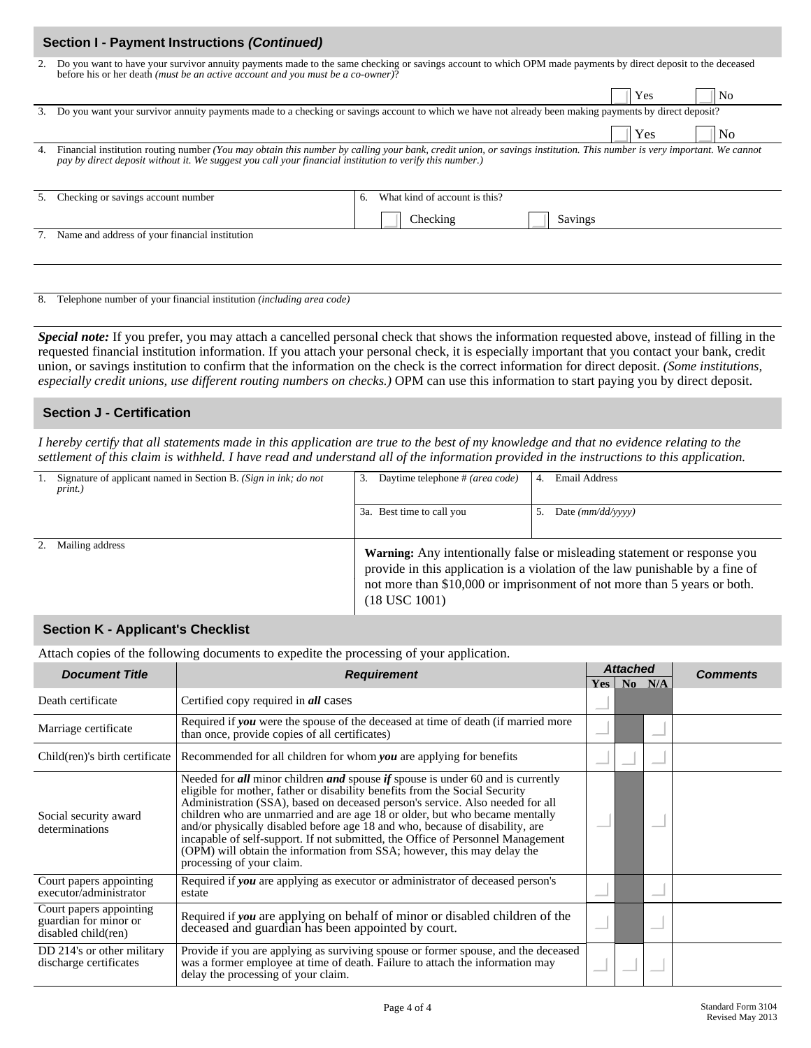| Section I - Payment Instructions (Continued) |                                                                                                                                                                                                                                                                                   |  |  |  |  |  |
|----------------------------------------------|-----------------------------------------------------------------------------------------------------------------------------------------------------------------------------------------------------------------------------------------------------------------------------------|--|--|--|--|--|
| 2.                                           | Do you want to have your survivor annuity payments made to the same checking or savings account to which OPM made payments by direct deposit to the deceased<br>before his or her death <i>(must be an active account and you must be a co-owner)</i> ?                           |  |  |  |  |  |
|                                              | Yes<br>No                                                                                                                                                                                                                                                                         |  |  |  |  |  |
| 3.                                           | Do you want your survivor annuity payments made to a checking or savings account to which we have not already been making payments by direct deposit?                                                                                                                             |  |  |  |  |  |
|                                              | Yes<br>  No                                                                                                                                                                                                                                                                       |  |  |  |  |  |
| 4.                                           | Financial institution routing number (You may obtain this number by calling your bank, credit union, or savings institution. This number is very important. We cannot<br>pay by direct deposit without it. We suggest you call your financial institution to verify this number.) |  |  |  |  |  |
|                                              | What kind of account is this?<br>Checking or savings account number<br>6.                                                                                                                                                                                                         |  |  |  |  |  |
|                                              | Checking<br>Savings                                                                                                                                                                                                                                                               |  |  |  |  |  |
|                                              | Name and address of your financial institution                                                                                                                                                                                                                                    |  |  |  |  |  |
|                                              |                                                                                                                                                                                                                                                                                   |  |  |  |  |  |
|                                              |                                                                                                                                                                                                                                                                                   |  |  |  |  |  |
| 8.                                           | Telephone number of your financial institution <i>(including area code)</i>                                                                                                                                                                                                       |  |  |  |  |  |

*Special note:* If you prefer, you may attach a cancelled personal check that shows the information requested above, instead of filling in the requested financial institution information. If you attach your personal check, it is especially important that you contact your bank, credit union, or savings institution to confirm that the information on the check is the correct information for direct deposit. *(Some institutions,*  especially credit unions, use different routing numbers on checks.) OPM can use this information to start paying you by direct deposit.

#### **Section J - Certification**

*I hereby certify that all statements made in this application are true to the best of my knowledge and that no evidence relating to the settlement of this claim is withheld. I have read and understand all of the information provided in the instructions to this application.* 

| Signature of applicant named in Section B. (Sign in ink; do not<br>print.) | Daytime telephone # (area code)<br>3.                                                                                                                                                                                                                      | <b>Email Address</b><br>$\overline{4}$ . |  |  |
|----------------------------------------------------------------------------|------------------------------------------------------------------------------------------------------------------------------------------------------------------------------------------------------------------------------------------------------------|------------------------------------------|--|--|
|                                                                            | 3a. Best time to call you                                                                                                                                                                                                                                  | Date $(mm/dd/vvvv)$<br>5.                |  |  |
| Mailing address                                                            | Warning: Any intentionally false or misleading statement or response you<br>provide in this application is a violation of the law punishable by a fine of<br>not more than \$10,000 or imprisonment of not more than 5 years or both.<br>$(18$ USC $1001)$ |                                          |  |  |

## **Section K - Applicant's Checklist**

Attach copies of the following documents to expedite the processing of your application.

| <b>Document Title</b>                                                   | <b>Requirement</b>                                                                                                                                                                                                                                                                                                                                                                                                                                                                                                                                                                                                             |  | <b>Attached</b><br><b>Yes</b> |     | <b>Comments</b> |
|-------------------------------------------------------------------------|--------------------------------------------------------------------------------------------------------------------------------------------------------------------------------------------------------------------------------------------------------------------------------------------------------------------------------------------------------------------------------------------------------------------------------------------------------------------------------------------------------------------------------------------------------------------------------------------------------------------------------|--|-------------------------------|-----|-----------------|
| Death certificate                                                       | Certified copy required in <b>all</b> cases                                                                                                                                                                                                                                                                                                                                                                                                                                                                                                                                                                                    |  | $\overline{N_0}$              | N/A |                 |
| Marriage certificate                                                    | Required if you were the spouse of the deceased at time of death (if married more<br>than once, provide copies of all certificates)                                                                                                                                                                                                                                                                                                                                                                                                                                                                                            |  |                               |     |                 |
| Child(ren)'s birth certificate                                          | Recommended for all children for whom you are applying for benefits                                                                                                                                                                                                                                                                                                                                                                                                                                                                                                                                                            |  |                               |     |                 |
| Social security award<br>determinations                                 | Needed for <i>all</i> minor children <i>and</i> spouse <i>if</i> spouse is under 60 and is currently<br>eligible for mother, father or disability benefits from the Social Security<br>Administration (SSA), based on deceased person's service. Also needed for all<br>children who are unmarried and are age 18 or older, but who became mentally<br>and/or physically disabled before age 18 and who, because of disability, are<br>incapable of self-support. If not submitted, the Office of Personnel Management<br>(OPM) will obtain the information from SSA; however, this may delay the<br>processing of your claim. |  |                               |     |                 |
| Court papers appointing<br>executor/administrator                       | Required if you are applying as executor or administrator of deceased person's<br>estate                                                                                                                                                                                                                                                                                                                                                                                                                                                                                                                                       |  |                               |     |                 |
| Court papers appointing<br>guardian for minor or<br>disabled child(ren) | Required if you are applying on behalf of minor or disabled children of the<br>deceased and guardian has been appointed by court.                                                                                                                                                                                                                                                                                                                                                                                                                                                                                              |  |                               |     |                 |
| DD 214's or other military<br>discharge certificates                    | Provide if you are applying as surviving spouse or former spouse, and the deceased<br>was a former employee at time of death. Failure to attach the information may<br>delay the processing of your claim.                                                                                                                                                                                                                                                                                                                                                                                                                     |  |                               |     |                 |